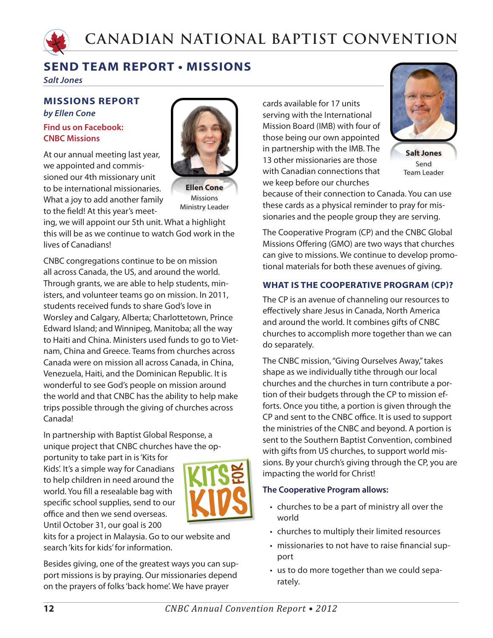

# **SEND TEAM REPORT • MISSIONS**

*Salt Jones*

## **MISSIONS REPORT**

*by Ellen Cone*  **Find us on Facebook: CNBC Missions**

At our annual meeting last year, we appointed and commissioned our 4th missionary unit to be international missionaries. What a joy to add another family to the field! At this year's meet-



**Ellen Cone** Missions Ministry Leader

ing, we will appoint our 5th unit. What a highlight this will be as we continue to watch God work in the lives of Canadians!

CNBC congregations continue to be on mission all across Canada, the US, and around the world. Through grants, we are able to help students, ministers, and volunteer teams go on mission. In 2011, students received funds to share God's love in Worsley and Calgary, Alberta; Charlottetown, Prince Edward Island; and Winnipeg, Manitoba; all the way to Haiti and China. Ministers used funds to go to Vietnam, China and Greece. Teams from churches across Canada were on mission all across Canada, in China, Venezuela, Haiti, and the Dominican Republic. It is wonderful to see God's people on mission around the world and that CNBC has the ability to help make trips possible through the giving of churches across Canada!

In partnership with Baptist Global Response, a unique project that CNBC churches have the op-

portunity to take part in is 'Kits for Kids'. It's a simple way for Canadians to help children in need around the world. You fill a resealable bag with specific school supplies, send to our office and then we send overseas. Until October 31, our goal is 200



kits for a project in Malaysia. Go to our website and search 'kits for kids' for information.

Besides giving, one of the greatest ways you can support missions is by praying. Our missionaries depend on the prayers of folks 'back home'. We have prayer

cards available for 17 units serving with the International Mission Board (IMB) with four of those being our own appointed in partnership with the IMB. The 13 other missionaries are those with Canadian connections that we keep before our churches



**Salt Jones** Send Team Leader

because of their connection to Canada. You can use these cards as a physical reminder to pray for missionaries and the people group they are serving.

The Cooperative Program (CP) and the CNBC Global Missions Offering (GMO) are two ways that churches can give to missions. We continue to develop promotional materials for both these avenues of giving.

### **WHAT IS THE COOPERATIVE PROGRAM (CP)?**

The CP is an avenue of channeling our resources to effectively share Jesus in Canada, North America and around the world. It combines gifts of CNBC churches to accomplish more together than we can do separately.

The CNBC mission, "Giving Ourselves Away," takes shape as we individually tithe through our local churches and the churches in turn contribute a portion of their budgets through the CP to mission efforts. Once you tithe, a portion is given through the CP and sent to the CNBC office. It is used to support the ministries of the CNBC and beyond. A portion is sent to the Southern Baptist Convention, combined with gifts from US churches, to support world missions. By your church's giving through the CP, you are impacting the world for Christ!

### **The Cooperative Program allows:**

- churches to be a part of ministry all over the world
- churches to multiply their limited resources
- missionaries to not have to raise financial support
- us to do more together than we could separately.